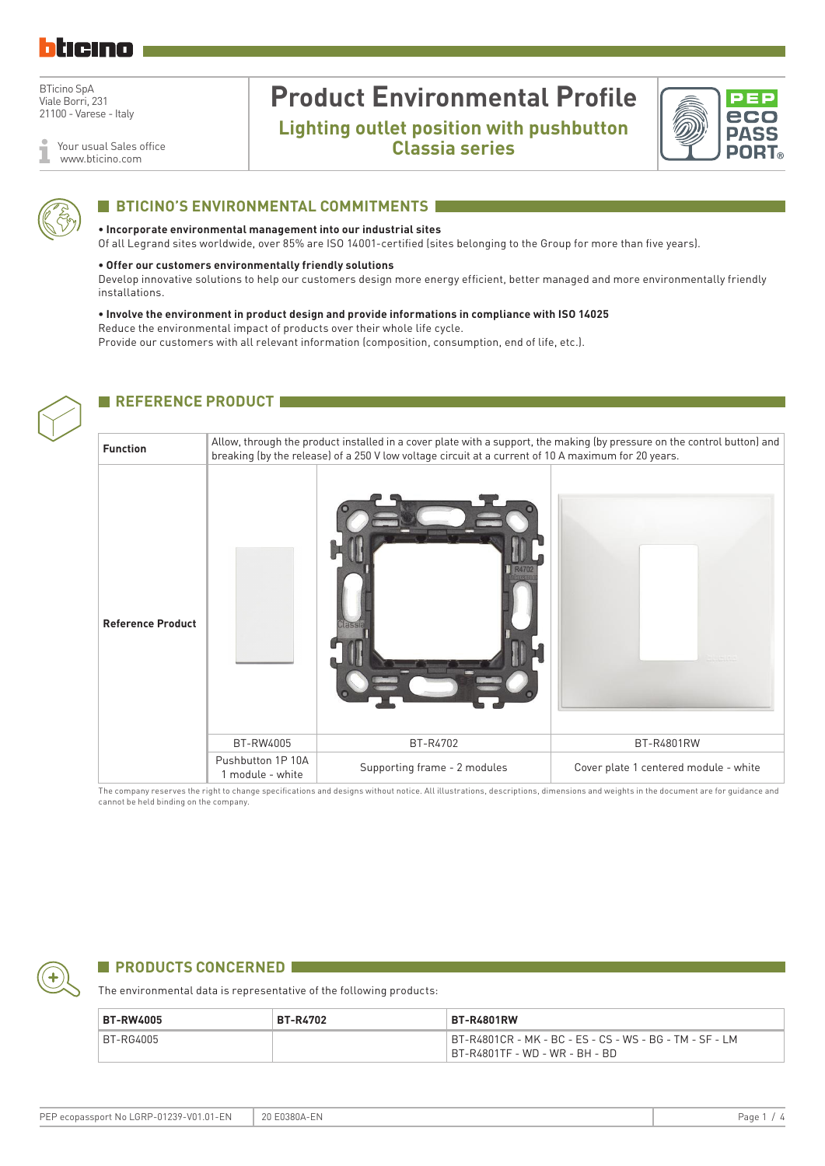

Your usual Sales office www.bticino.com

## **Product Environmental Profile Lighting outlet position with pushbutton**

**Classia series**





#### **BTICINO'S ENVIRONMENTAL COMMITMENTS I**

#### **• Incorporate environmental management into our industrial sites**

Of all Legrand sites worldwide, over 85% are ISO 14001-certified (sites belonging to the Group for more than five years).

#### **• Offer our customers environmentally friendly solutions**

Develop innovative solutions to help our customers design more energy efficient, better managed and more environmentally friendly installations.

**• Involve the environment in product design and provide informations in compliance with ISO 14025** Reduce the environmental impact of products over their whole life cycle. Provide our customers with all relevant information (composition, consumption, end of life, etc.).

#### **REFERENCE PRODUCT**



The company reserves the right to change specifications and designs without notice. All illustrations, descriptions, dimensions and weights in the document are for guidance and cannot be held binding on the company.



#### **EXPRODUCTS CONCERNED FOR A PRODUCTS**

The environmental data is representative of the following products:

| <b>BT-RW4005</b> | <b>BT-R4702</b> | <b>BT-R4801RW</b>                                                                         |
|------------------|-----------------|-------------------------------------------------------------------------------------------|
| BT-RG4005        |                 | BT-R4801CR - MK - BC - ES - CS - WS - BG - TM - SF - LM<br>BT-R4801TF - WD - WR - BH - BD |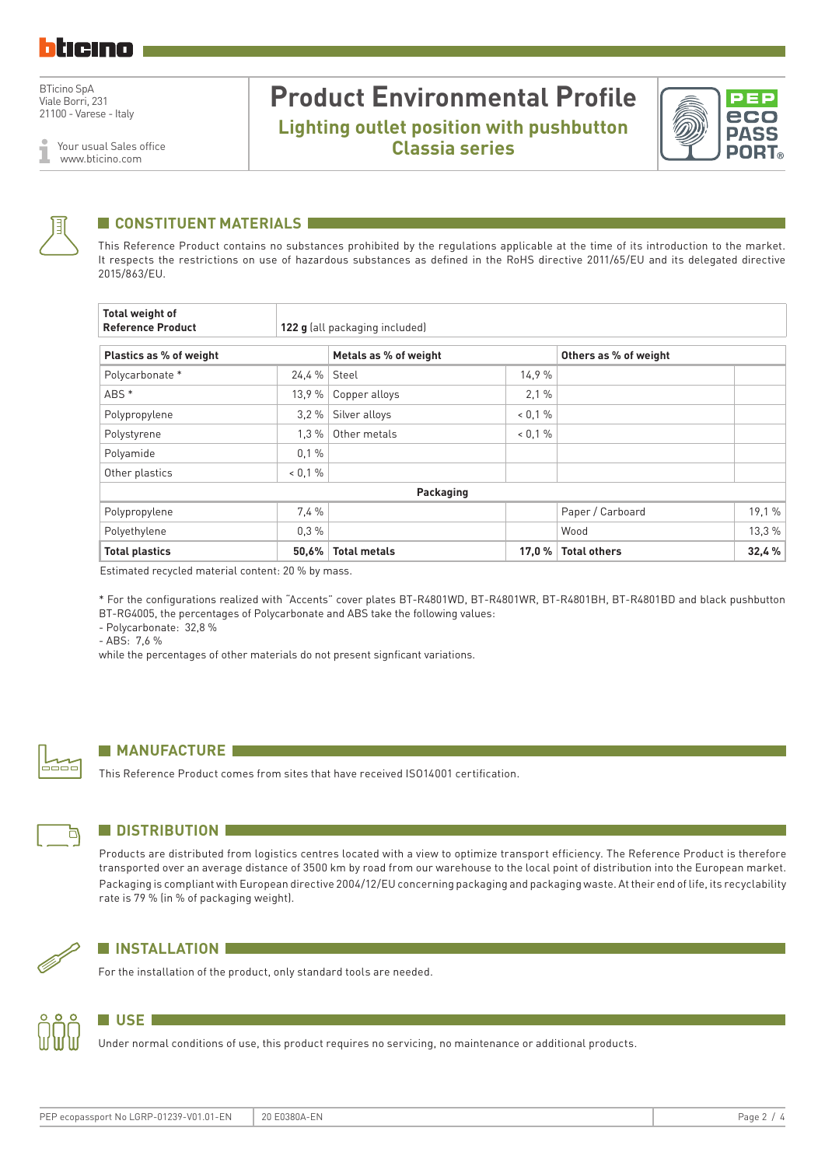Your usual Sales office www.bticino.com

### **Product Environmental Profile Lighting outlet position with pushbutton Classia series**





#### **CONSTITUENT MATERIALS**

This Reference Product contains no substances prohibited by the regulations applicable at the time of its introduction to the market. It respects the restrictions on use of hazardous substances as defined in the RoHS directive 2011/65/EU and its delegated directive 2015/863/EU.

| <b>Total weight of</b><br><b>Reference Product</b> | 122 g (all packaging included) |                       |            |                       |        |  |  |
|----------------------------------------------------|--------------------------------|-----------------------|------------|-----------------------|--------|--|--|
| Plastics as % of weight                            |                                | Metals as % of weight |            | Others as % of weight |        |  |  |
| Polycarbonate *                                    | 24.4 % Steel                   |                       | 14.9%      |                       |        |  |  |
| ABS *                                              | 13.9%                          | Copper alloys         | 2,1%       |                       |        |  |  |
| Polypropylene                                      | 3.2%                           | Silver alloys         | $< 0.1 \%$ |                       |        |  |  |
| Polystyrene                                        | $1.3\%$                        | Other metals          | $0.1\%$    |                       |        |  |  |
| Polyamide                                          | 0,1%                           |                       |            |                       |        |  |  |
| Other plastics                                     | $< 0.1 \%$                     |                       |            |                       |        |  |  |
|                                                    |                                | Packaging             |            |                       |        |  |  |
| Polypropylene                                      | 7.4%                           |                       |            | Paper / Carboard      | 19,1 % |  |  |
| Polyethylene                                       | 0.3%                           |                       |            | Wood                  | 13,3%  |  |  |
| <b>Total plastics</b>                              | 50,6%                          | <b>Total metals</b>   | 17,0 %     | <b>Total others</b>   | 32,4 % |  |  |

Estimated recycled material content: 20 % by mass.

\* For the configurations realized with "Accents" cover plates BT-R4801WD, BT-R4801WR, BT-R4801BH, BT-R4801BD and black pushbutton BT-RG4005, the percentages of Polycarbonate and ABS take the following values:

- Polycarbonate: 32,8 %

- ABS: 7,6 %

while the percentages of other materials do not present signficant variations.



#### **MANUFACTURE**

This Reference Product comes from sites that have received ISO14001 certification.



#### **N** DISTRIBUTION

Products are distributed from logistics centres located with a view to optimize transport efficiency. The Reference Product is therefore transported over an average distance of 3500 km by road from our warehouse to the local point of distribution into the European market. Packaging is compliant with European directive 2004/12/EU concerning packaging and packaging waste. At their end of life, its recyclability rate is 79 % (in % of packaging weight).



#### **N** INSTALLATION

**N** USE **Extending the USE** 

For the installation of the product, only standard tools are needed.

Under normal conditions of use, this product requires no servicing, no maintenance or additional products.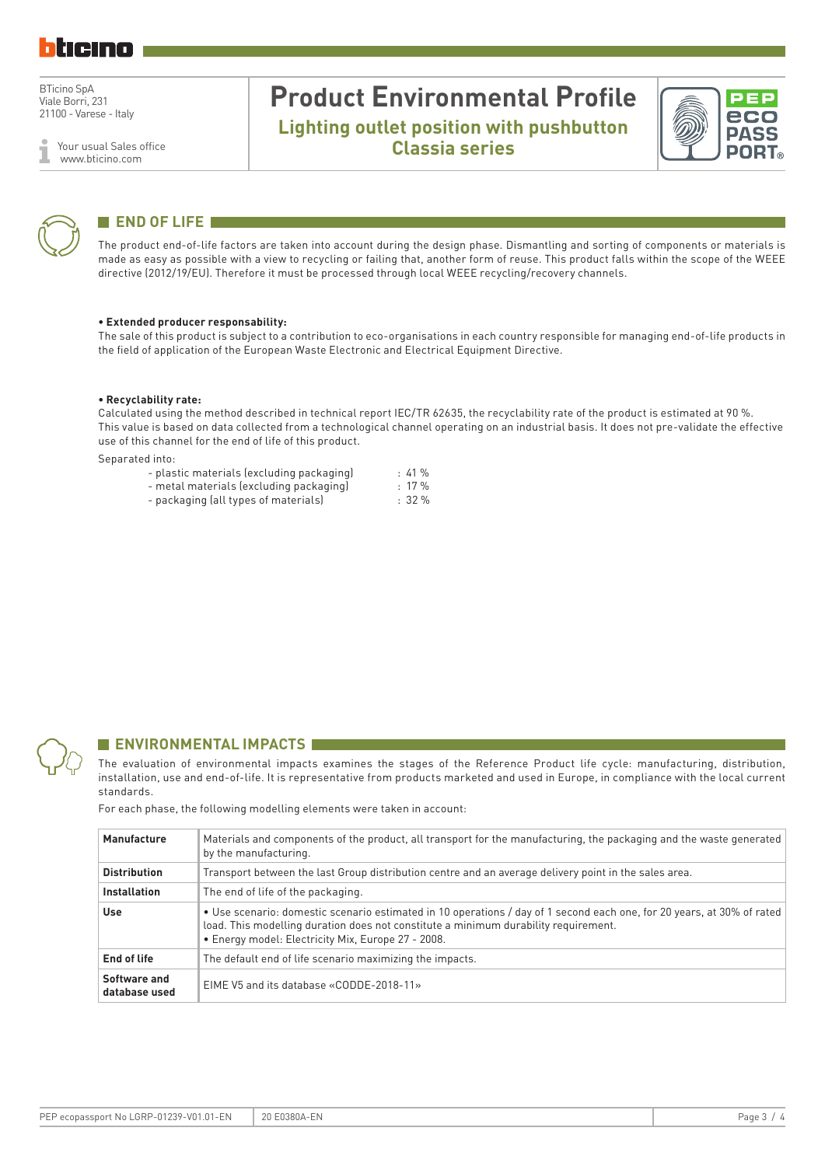Your usual Sales office www.bticino.com

### **Product Environmental Profile Lighting outlet position with pushbutton Classia series**





### **END OF LIFE**

The product end-of-life factors are taken into account during the design phase. Dismantling and sorting of components or materials is made as easy as possible with a view to recycling or failing that, another form of reuse. This product falls within the scope of the WEEE directive (2012/19/EU). Therefore it must be processed through local WEEE recycling/recovery channels.

#### **• Extended producer responsability:**

The sale of this product is subject to a contribution to eco-organisations in each country responsible for managing end-of-life products in the field of application of the European Waste Electronic and Electrical Equipment Directive.

#### **• Recyclability rate:**

Calculated using the method described in technical report IEC/TR 62635, the recyclability rate of the product is estimated at 90 %. This value is based on data collected from a technological channel operating on an industrial basis. It does not pre-validate the effective use of this channel for the end of life of this product.

Separated into:

| - plastic materials (excluding packaging) | :41%         |
|-------------------------------------------|--------------|
| - metal materials (excluding packaging)   | $: 17 \%$    |
| - packaging (all types of materials)      | $\cdot$ 32 % |



#### **ENVIRONMENTAL IMPACTS**

The evaluation of environmental impacts examines the stages of the Reference Product life cycle: manufacturing, distribution, installation, use and end-of-life. It is representative from products marketed and used in Europe, in compliance with the local current standards.

For each phase, the following modelling elements were taken in account:

| Manufacture                   | Materials and components of the product, all transport for the manufacturing, the packaging and the waste generated<br>by the manufacturing.                                                                                                                        |
|-------------------------------|---------------------------------------------------------------------------------------------------------------------------------------------------------------------------------------------------------------------------------------------------------------------|
| <b>Distribution</b>           | Transport between the last Group distribution centre and an average delivery point in the sales area.                                                                                                                                                               |
| <b>Installation</b>           | The end of life of the packaging.                                                                                                                                                                                                                                   |
| Use                           | • Use scenario: domestic scenario estimated in 10 operations / day of 1 second each one, for 20 years, at 30% of rated<br>load. This modelling duration does not constitute a minimum durability requirement.<br>• Energy model: Electricity Mix, Europe 27 - 2008. |
| End of life                   | The default end of life scenario maximizing the impacts.                                                                                                                                                                                                            |
| Software and<br>database used | EIME V5 and its database «CODDE-2018-11»                                                                                                                                                                                                                            |